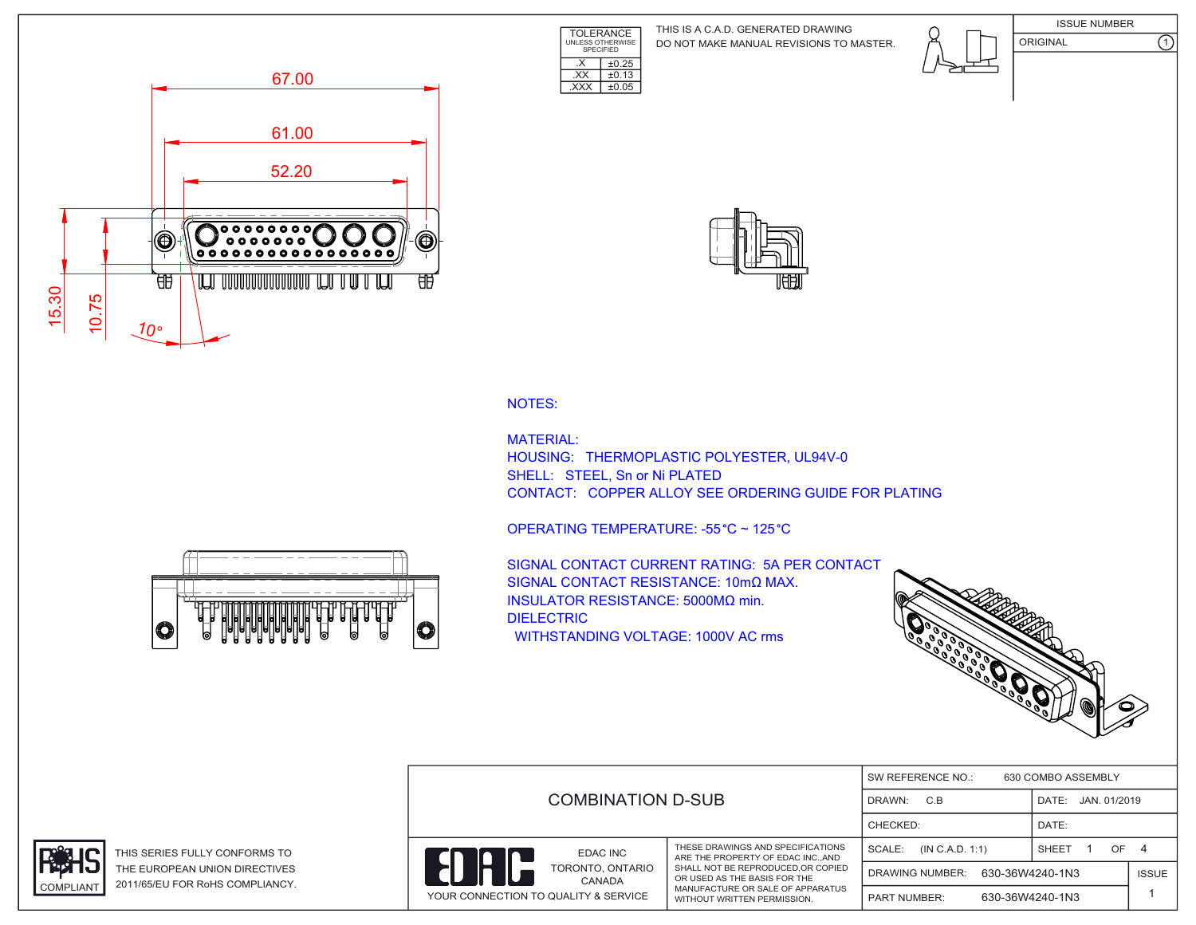TOLERANCE UNLESS OTHERWISE SPECIFIED DO NOT MAKE MANUAL REVISIONS TO MASTER. THIS IS A C.A.D. GENERATED DRAWING









NOTES:

MATERIAL: HOUSING: THERMOPLASTIC POLYESTER, UL94V-0 SHELL: STEEL, Sn or Ni PLATED CONTACT: COPPER ALLOY SEE ORDERING GUIDE FOR PLATING

OPERATING TEMPERATURE: -55 °C ~ 125 °C

 $\overline{XX}$   $\pm 0.13$ .XXX ±0.05

 $\overline{\text{X}}$   $\overline{\text{+0.25}}$ 

SIGNAL CONTACT CURRENT RATING: 5A PER CONTACT SIGNAL CONTACT RESISTANCE: 10mΩ MAX. INSULATOR RESISTANCE: 5000MΩ min. DIELECTRIC WITHSTANDING VOLTAGE: 1000V AC rms



|  | <b>COMBINATION D-SUB</b>             |                            |                                                                      | 630 COMBO ASSEMBLY<br>SW REFERENCE NO.: |                        |                       |              |  |
|--|--------------------------------------|----------------------------|----------------------------------------------------------------------|-----------------------------------------|------------------------|-----------------------|--------------|--|
|  |                                      |                            |                                                                      | C.B<br>DRAWN:                           |                        | JAN. 01/2019<br>DATE: |              |  |
|  |                                      |                            |                                                                      | CHECKED:                                |                        | DATE:                 |              |  |
|  |                                      | EDAC INC                   | THESE DRAWINGS AND SPECIFICATIONS<br>ARE THE PROPERTY OF EDAC INCAND | SCALE:                                  | (IN C.A.D. 1:1)        | <b>SHEET</b><br>OF    | 4            |  |
|  |                                      | TORONTO, ONTARIO<br>CANADA | SHALL NOT BE REPRODUCED.OR COPIED<br>OR USED AS THE BASIS FOR THE    |                                         | <b>DRAWING NUMBER:</b> | 630-36W4240-1N3       | <b>ISSUE</b> |  |
|  | YOUR CONNECTION TO QUALITY & SERVICE |                            | MANUFACTURE OR SALE OF APPARATUS<br>WITHOUT WRITTEN PERMISSION.      | 630-36W4240-1N3<br><b>PART NUMBER:</b>  |                        |                       |              |  |





THIS SERIES FULLY CONFORMS TO THE EUROPEAN UNION DIRECTIVES COMPLIANT 2011/65/EU FOR RoHS COMPLIANCY.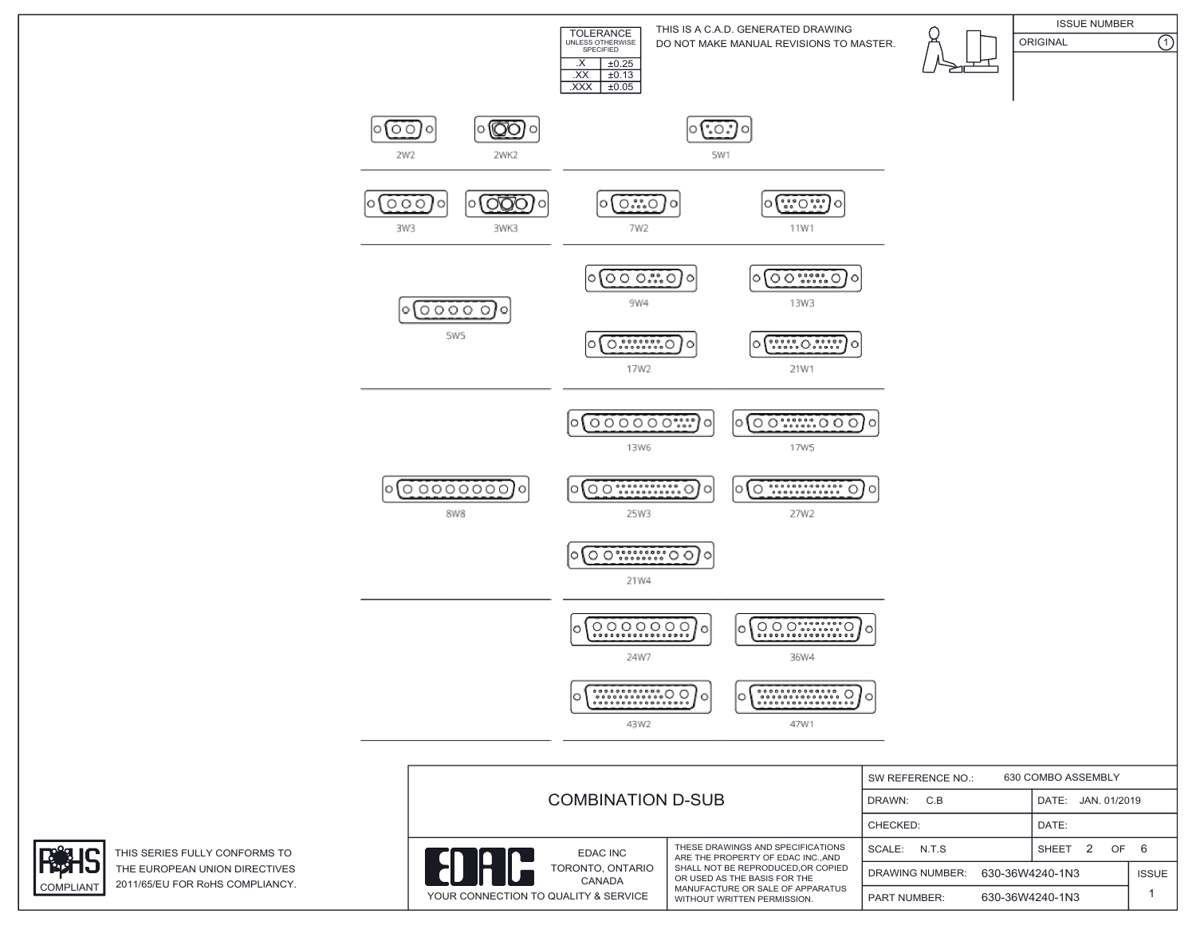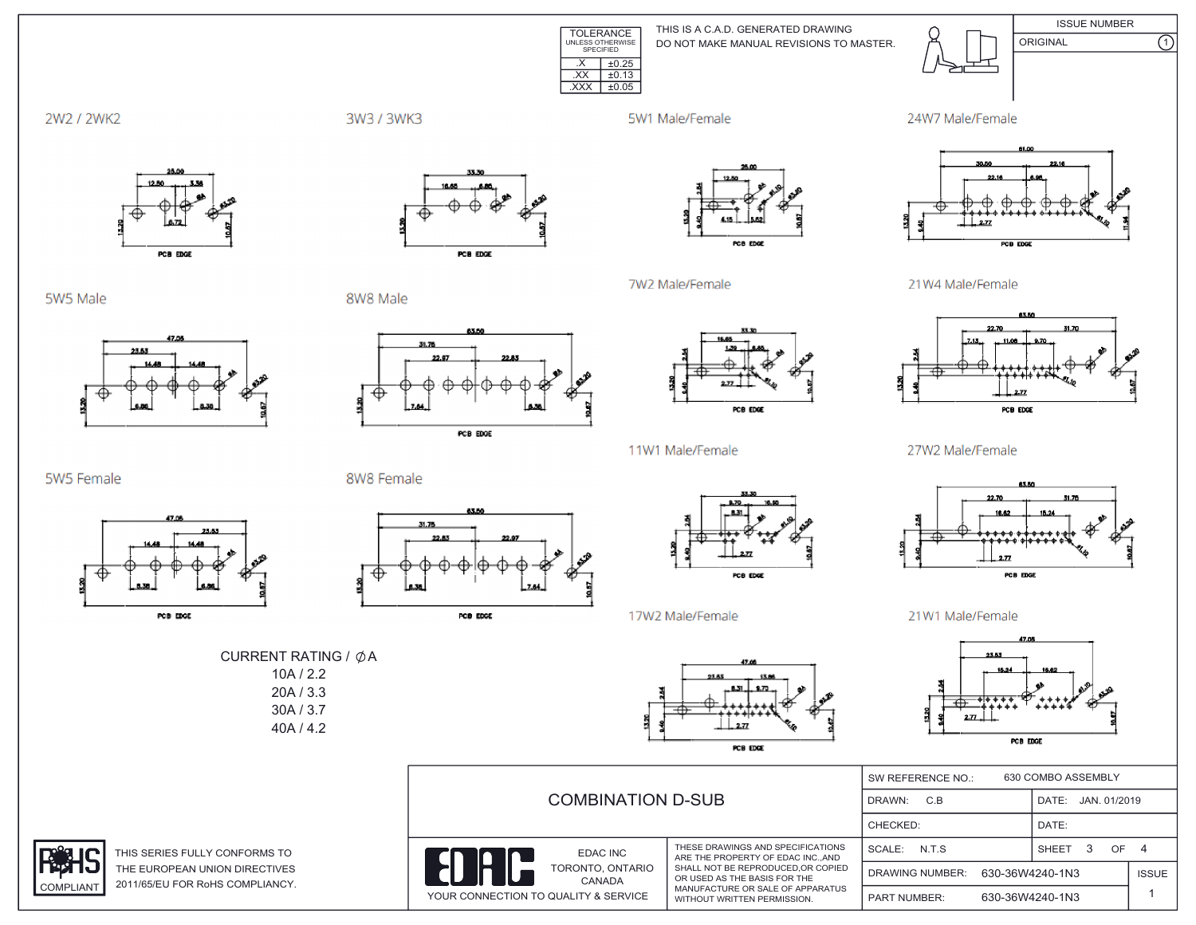

THIS IS A C.A.D. GENERATED DRAWING DO NOT MAKE MANUAL REVISIONS TO MASTER.



**ISSUE NUMBER**  $\overline{\Omega}$ ORIGINAL



3W3 / 3WK3

5W1 Male/Female

7W2 Male/Female





5W5 Male

5W5 Female

**COMPLIANT** 



PCB EDGE

PCB EDGE

8W8 Male

8W8 Female



PCB EDGE



POB EDGE

11W1 Male/Female

21W4 Male/Female



27W2 Male/Female



21W1 Male/Female



|                                                                  |                                      | 630 COMBO ASSEMBLY<br>SW REFERENCE NO.:                                                                                                                                                                      |                                           |                      |              |
|------------------------------------------------------------------|--------------------------------------|--------------------------------------------------------------------------------------------------------------------------------------------------------------------------------------------------------------|-------------------------------------------|----------------------|--------------|
|                                                                  | <b>COMBINATION D-SUB</b>             | DRAWN:<br>C.B                                                                                                                                                                                                | DATE: JAN. 01/2019                        |                      |              |
|                                                                  |                                      |                                                                                                                                                                                                              | CHECKED:                                  | DATE:                |              |
| THIS SERIES FULLY CONFORMS TO                                    | EDAC INC                             | THESE DRAWINGS AND SPECIFICATIONS<br>ARE THE PROPERTY OF EDAC INCAND<br>SHALL NOT BE REPRODUCED.OR COPIED<br>OR USED AS THE BASIS FOR THE<br>MANUFACTURE OR SALE OF APPARATUS<br>WITHOUT WRITTEN PERMISSION. | SCALE: N.T.S                              | OF 4<br><b>SHEET</b> |              |
| THE EUROPEAN UNION DIRECTIVES<br>2011/65/EU FOR RoHS COMPLIANCY. | TORONTO, ONTARIO<br><b>CANADA</b>    |                                                                                                                                                                                                              | 630-36W4240-1N3<br><b>DRAWING NUMBER:</b> |                      | <b>ISSUE</b> |
|                                                                  | YOUR CONNECTION TO QUALITY & SERVICE |                                                                                                                                                                                                              | 630-36W4240-1N3<br><b>PART NUMBER:</b>    |                      |              |



17W2 Male/Female







PCB EDGE